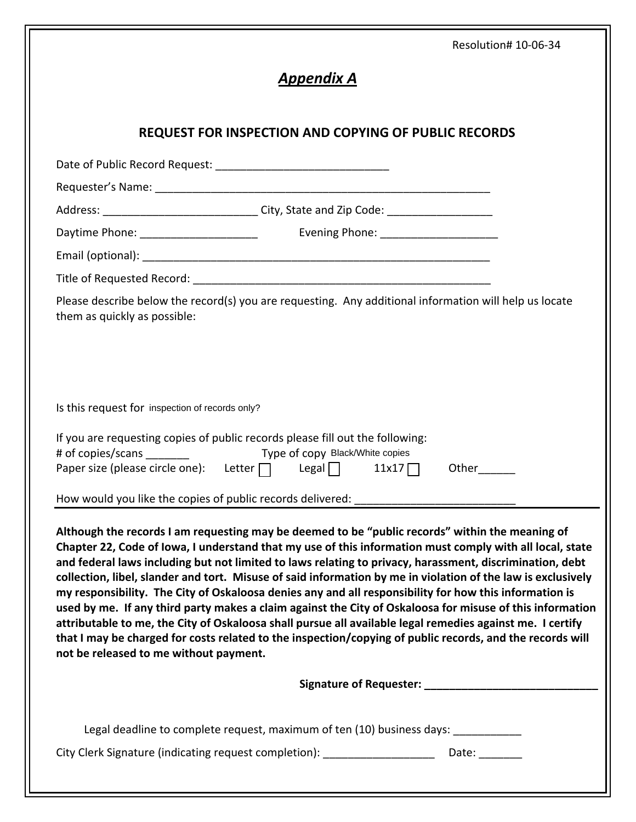|                                                 |                                                                                                                                                                                                                                              | Resolution# 10-06-34                                                                                                                                                                                                                                                                                                                                                                                                                                                                                                                                                                                                                                                                                                                                                                                                                                                                     |  |  |
|-------------------------------------------------|----------------------------------------------------------------------------------------------------------------------------------------------------------------------------------------------------------------------------------------------|------------------------------------------------------------------------------------------------------------------------------------------------------------------------------------------------------------------------------------------------------------------------------------------------------------------------------------------------------------------------------------------------------------------------------------------------------------------------------------------------------------------------------------------------------------------------------------------------------------------------------------------------------------------------------------------------------------------------------------------------------------------------------------------------------------------------------------------------------------------------------------------|--|--|
| <u> Appendix A</u>                              |                                                                                                                                                                                                                                              |                                                                                                                                                                                                                                                                                                                                                                                                                                                                                                                                                                                                                                                                                                                                                                                                                                                                                          |  |  |
|                                                 | <b>REQUEST FOR INSPECTION AND COPYING OF PUBLIC RECORDS</b>                                                                                                                                                                                  |                                                                                                                                                                                                                                                                                                                                                                                                                                                                                                                                                                                                                                                                                                                                                                                                                                                                                          |  |  |
|                                                 |                                                                                                                                                                                                                                              |                                                                                                                                                                                                                                                                                                                                                                                                                                                                                                                                                                                                                                                                                                                                                                                                                                                                                          |  |  |
|                                                 |                                                                                                                                                                                                                                              |                                                                                                                                                                                                                                                                                                                                                                                                                                                                                                                                                                                                                                                                                                                                                                                                                                                                                          |  |  |
|                                                 | Address: ________________________________City, State and Zip Code: ______________                                                                                                                                                            |                                                                                                                                                                                                                                                                                                                                                                                                                                                                                                                                                                                                                                                                                                                                                                                                                                                                                          |  |  |
|                                                 |                                                                                                                                                                                                                                              |                                                                                                                                                                                                                                                                                                                                                                                                                                                                                                                                                                                                                                                                                                                                                                                                                                                                                          |  |  |
|                                                 |                                                                                                                                                                                                                                              |                                                                                                                                                                                                                                                                                                                                                                                                                                                                                                                                                                                                                                                                                                                                                                                                                                                                                          |  |  |
|                                                 |                                                                                                                                                                                                                                              |                                                                                                                                                                                                                                                                                                                                                                                                                                                                                                                                                                                                                                                                                                                                                                                                                                                                                          |  |  |
| them as quickly as possible:                    |                                                                                                                                                                                                                                              | Please describe below the record(s) you are requesting. Any additional information will help us locate                                                                                                                                                                                                                                                                                                                                                                                                                                                                                                                                                                                                                                                                                                                                                                                   |  |  |
| Is this request for inspection of records only? | and the control                                                                                                                                                                                                                              |                                                                                                                                                                                                                                                                                                                                                                                                                                                                                                                                                                                                                                                                                                                                                                                                                                                                                          |  |  |
| # of copies/scans _________                     | If you are requesting copies of public records please fill out the following:<br>Type of copy Black/White copies<br>Paper size (please circle one): Letter $\Box$ Legal $\Box$<br>How would you like the copies of public records delivered: | 11x17<br>Other                                                                                                                                                                                                                                                                                                                                                                                                                                                                                                                                                                                                                                                                                                                                                                                                                                                                           |  |  |
| not be released to me without payment.          |                                                                                                                                                                                                                                              | Although the records I am requesting may be deemed to be "public records" within the meaning of<br>Chapter 22, Code of Iowa, I understand that my use of this information must comply with all local, state<br>and federal laws including but not limited to laws relating to privacy, harassment, discrimination, debt<br>collection, libel, slander and tort. Misuse of said information by me in violation of the law is exclusively<br>my responsibility. The City of Oskaloosa denies any and all responsibility for how this information is<br>used by me. If any third party makes a claim against the City of Oskaloosa for misuse of this information<br>attributable to me, the City of Oskaloosa shall pursue all available legal remedies against me. I certify<br>that I may be charged for costs related to the inspection/copying of public records, and the records will |  |  |
|                                                 |                                                                                                                                                                                                                                              |                                                                                                                                                                                                                                                                                                                                                                                                                                                                                                                                                                                                                                                                                                                                                                                                                                                                                          |  |  |
|                                                 | Legal deadline to complete request, maximum of ten (10) business days:                                                                                                                                                                       |                                                                                                                                                                                                                                                                                                                                                                                                                                                                                                                                                                                                                                                                                                                                                                                                                                                                                          |  |  |